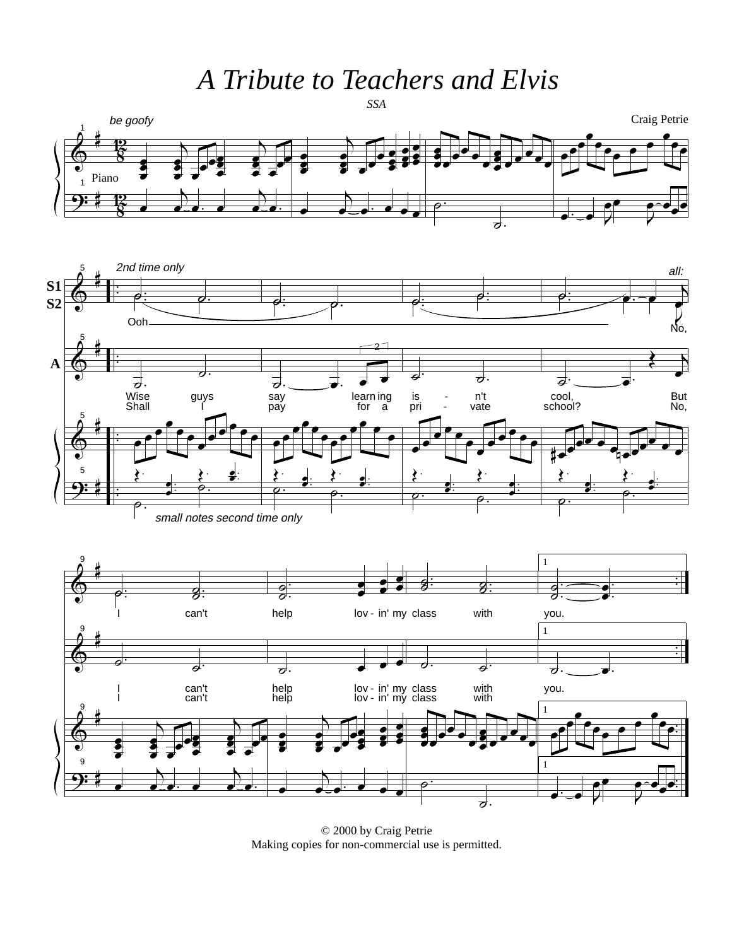A Tribute to Teachers and Elvis



© 2000 by Craig Petrie Making copies for non-commercial use is permitted.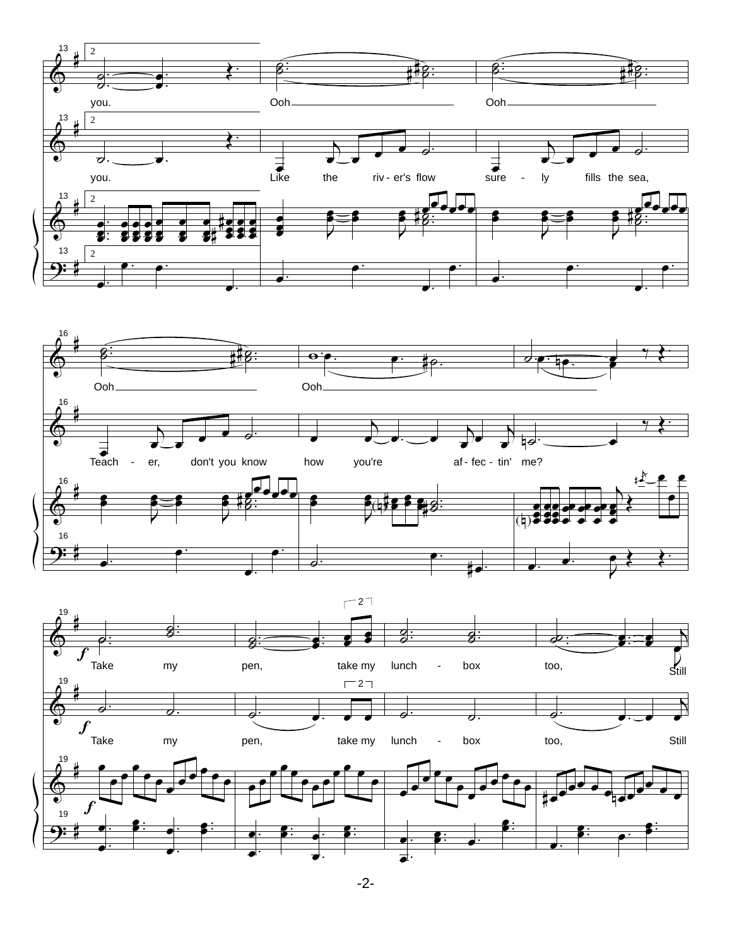



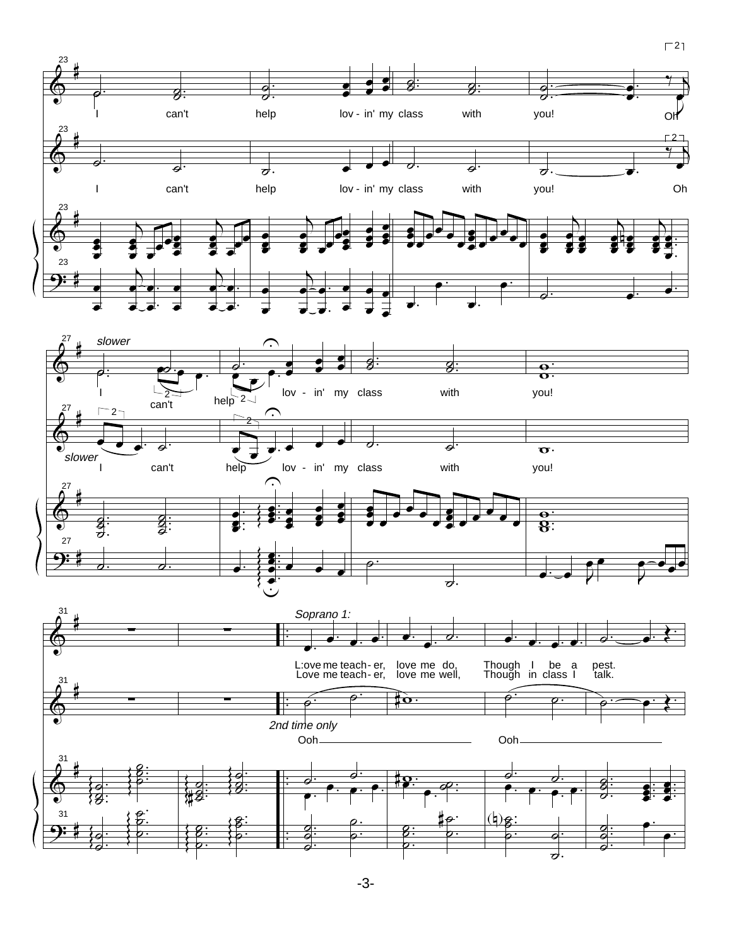

 $\Gamma$ 21





-3-